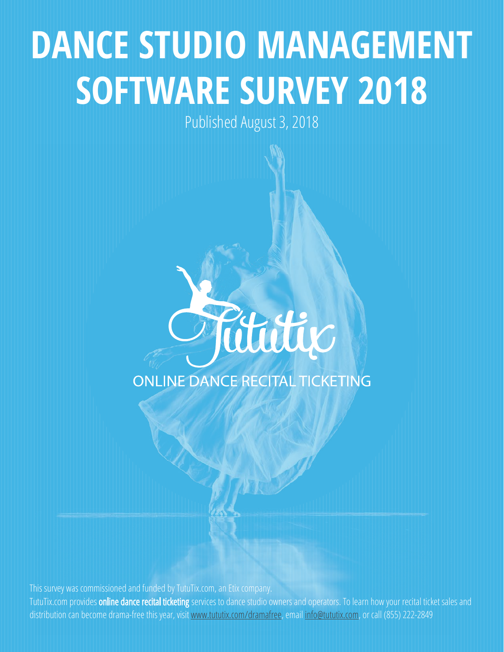# **DANCE STUDIO MANAGEMENT SOFTWARE SURVEY 2018**

Published August 3, 2018



This survey was commissioned and funded by TutuTix.com, an Etix company. TutuTix.com provides **online dance recital ticketing** services to dance studio owners and operators. To learn how your recital ticket sales and distribution can become drama-free this year, visit [www.tututix.com/dramafree](http://www.tututix.com/dramafree), email [info@tututix.com,](mailto:info%40tututix.com?subject=Interested%20in%20Learning%20More%21) or call (855) 222-2849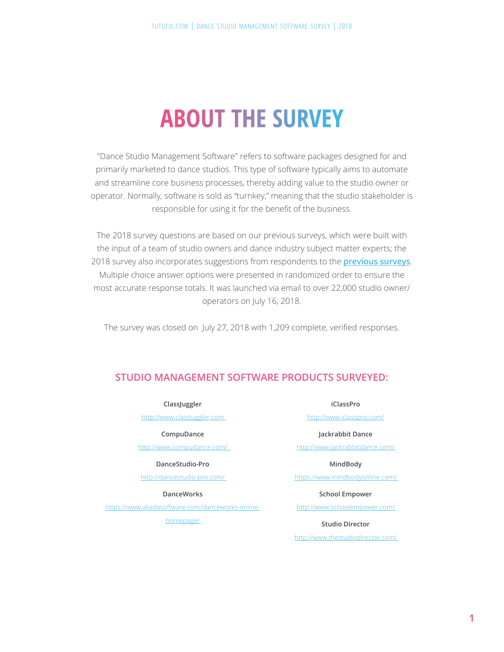# **ABOUT THE SURVEY**

"Dance Studio Management Software" refers to software packages designed for and primarily marketed to dance studios. This type of software typically aims to automate and streamline core business processes, thereby adding value to the studio owner or operator. Normally, software is sold as "turnkey," meaning that the studio stakeholder is responsible for using it for the benefit of the business.

The 2018 survey questions are based on our previous surveys, which were built with the input of a team of studio owners and dance industry subject matter experts; the 2018 survey also incorporates suggestions from respondents to the **[previous surveys](https://www.tututix.com/dance-studio-software-2017-survey-results/)**. Multiple choice answer options were presented in randomized order to ensure the most accurate response totals. It was launched via email to over 22,000 studio owner/ operators on July 16, 2018.

The survey was closed on July 27, 2018 with 1,209 complete, verified responses.

### **STUDIO MANAGEMENT SOFTWARE PRODUCTS SURVEYED:**

#### **ClassJuggler**

[http://www.classjuggler.com](http://www.classjuggler.com 
) 

#### **CompuDance**

[http://www.compudance.com/](http://www.compudance.com/   ) 

#### **DanceStudio-Pro**

[http://dancestudio-pro.com/](http://dancestudio-pro.com/  ) 

#### **DanceWorks**

[https://www.akadasoftware.com/danceworks-online](https://www.akadasoftware.com/danceworks-online-homepage/ )[homepage/](https://www.akadasoftware.com/danceworks-online-homepage/ ) 

**iClassPro**

[http://www.iclasspro.com/](http://www.iclasspro.com/ )

#### **Jackrabbit Dance**

[http://www.jackrabbitdance.com/](http://www.jackrabbitdance.com/  ) 

#### **MindBody**

[https://www.mindbodyonline.com/](https://www.mindbodyonline.com/  ) 

#### **School Empower**

[http://www.schoolempower.com/](http://www.schoolempower.com/  ) 

#### **Studio Director**

[http://www.thestudiodirector.com/](http://www.thestudiodirector.com/ )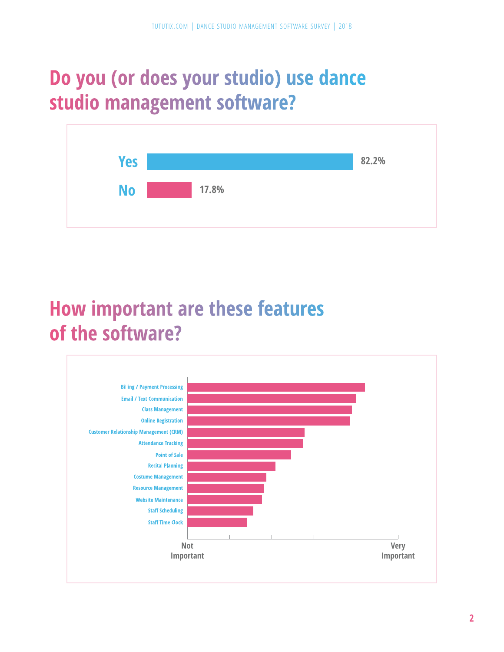# **Do you (or does your studio) use dance studio management software?**



## **How important are these features of the software?**

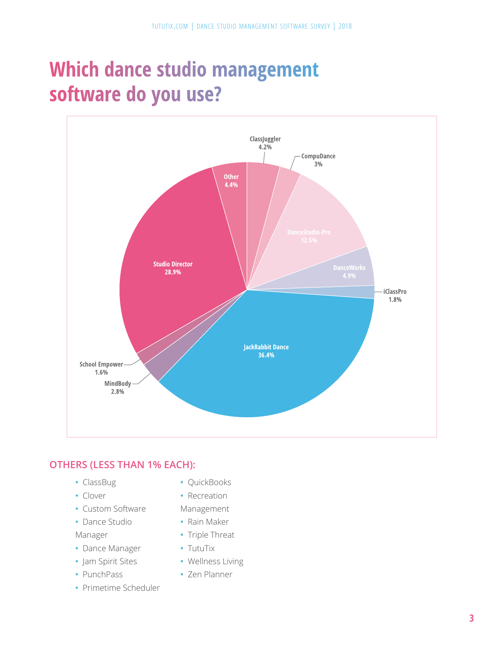# **Which dance studio management software do you use?**



### **OTHERS (LESS THAN 1% EACH):**

- **•** ClassBug
- **•** Clover
- **•** Custom Software
- **•** Dance Studio
- Manager
- **•** Dance Manager
- **•** Jam Spirit Sites
- **•** PunchPass
- **•** Primetime Scheduler
- **•** QuickBooks
- **•** Recreation
- Management
- **•** Rain Maker
- **•** Triple Threat
- **•** TutuTix
- **•** Wellness Living
- **•** Zen Planner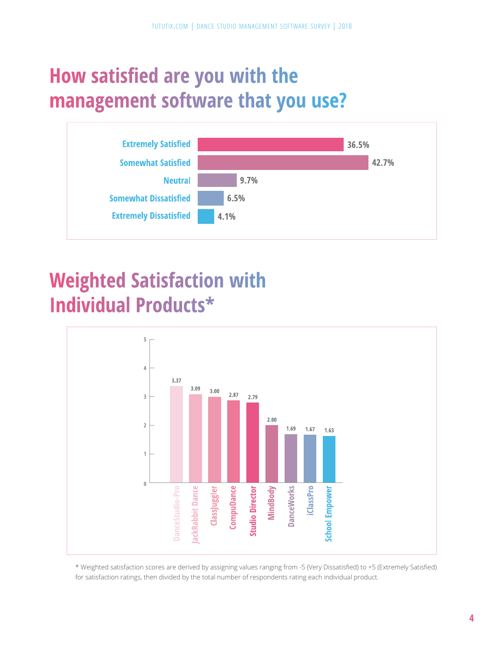# **How satisfied are you with the management software that you use?**



# **Weighted Satisfaction with Individual Products\***



\* Weighted satisfaction scores are derived by assigning values ranging from -5 (Very Dissatisfied) to +5 (Extremely Satisfied) for satisfaction ratings, then divided by the total number of respondents rating each individual product.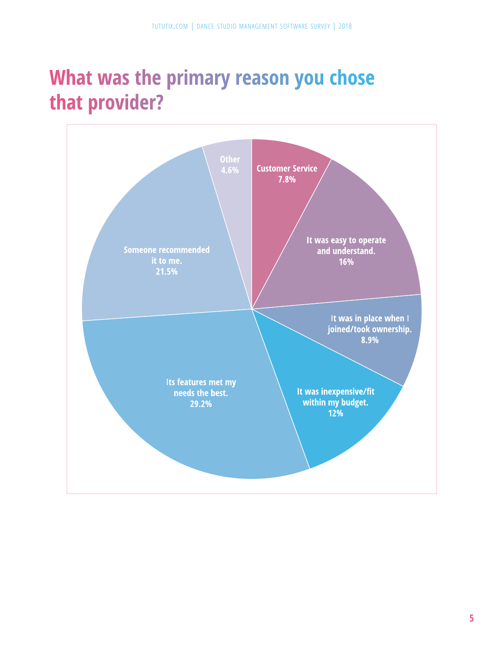# **What was the primary reason you chose that provider?**

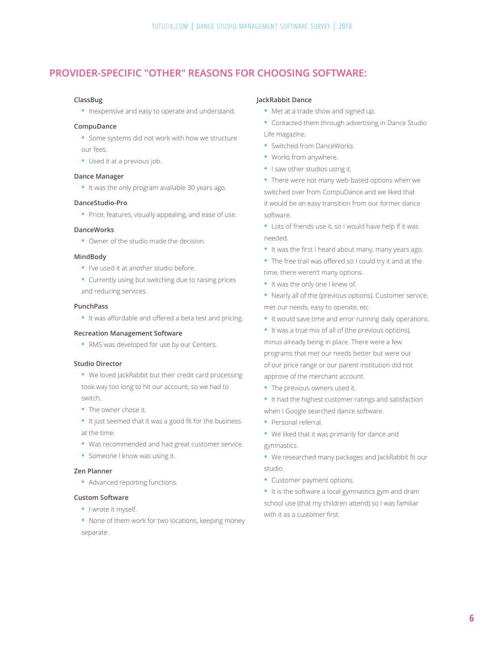### **PROVIDER-SPECIFIC "OTHER" REASONS FOR CHOOSING SOFTWARE:**

#### **ClassBug**

**•** Inexpensive and easy to operate and understand.

#### **CompuDance**

- **•** Some systems did not work with how we structure our fees.
- **•** Used it at a previous job.

#### **Dance Manager**

**•** It was the only program available 30 years ago.

#### **DanceStudio-Pro**

**•** Price, features, visually appealing, and ease of use.

#### **DanceWorks**

**•** Owner of the studio made the decision.

#### **MindBody**

- **•** I've used it at another studio before.
- **•** Currently using but switching due to raising prices and reducing services.

#### **PunchPass**

**•** It was affordable and offered a beta test and pricing.

#### **Recreation Management Software**

**•** RMS was developed for use by our Centers.

#### **Studio Director**

- **•** We loved JackRabbit but their credit card processing took way too long to hit our account, so we had to switch.
- **•** The owner chose it.
- **•** It just seemed that it was a good fit for the business
- at the time.
- **•** Was recommended and had great customer service.
- **•** Someone I know was using it.

#### **Zen Planner**

**•** Advanced reporting functions.

#### **Custom Software**

- **•** I wrote it myself.
- **•** None of them work for two locations, keeping money separate.

#### **JackRabbit Dance**

- **•** Met at a trade show and signed up.
- **•** Contacted them through advertising in Dance Studio Life magazine.
- **•** Switched from DanceWorks
- **•** Works from anywhere.
- **•** I saw other studios using it.
- **•** There were not many web-based options when we switched over from CompuDance and we liked that it would be an easy transition from our former dance software.
- **•** Lots of friends use it, so I would have help if it was needed.
- **•** It was the first I heard about many, many years ago.
- **•** The free trail was offered so I could try it and at the time, there weren't many options.
- **•** It was the only one I knew of.
- **•** Nearly all of the (previous options). Customer service, met our needs, easy to operate, etc.
- **•** It would save time and error running daily operations.
- **•** It was a true mix of all of (the previous options), minus already being in place. There were a few programs that met our needs better but were out of our price range or our parent institution did not approve of the merchant account.
- **•** The previous owners used it.
- **•** It had the highest customer ratings and satisfaction when I Google searched dance software.
- **•** Personal referral.
- **•** We liked that it was primarily for dance and

gymnastics.

- **•** We researched many packages and JackRabbit fit our studio.
- **•** Customer payment options.
- **•** It is the software a local gymnastics gym and dram school use (that my children attend) so I was familiar with it as a customer first.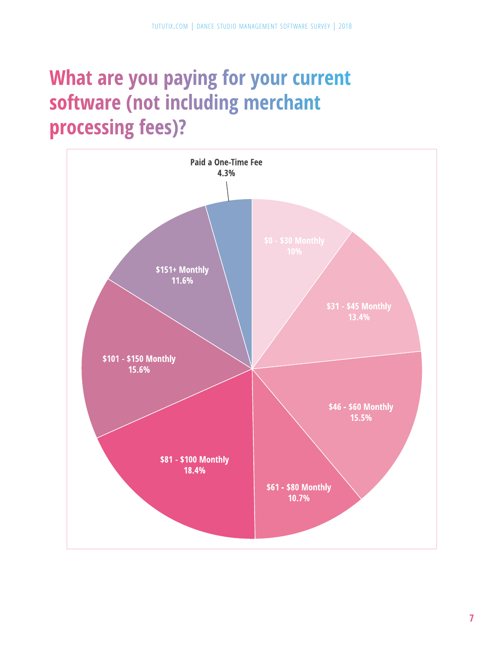# **What are you paying for your current software (not including merchant processing fees)?**

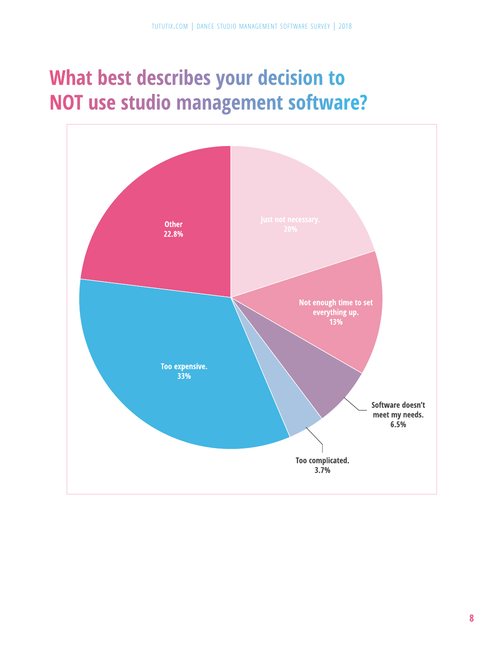# **What best describes your decision to NOT use studio management software?**

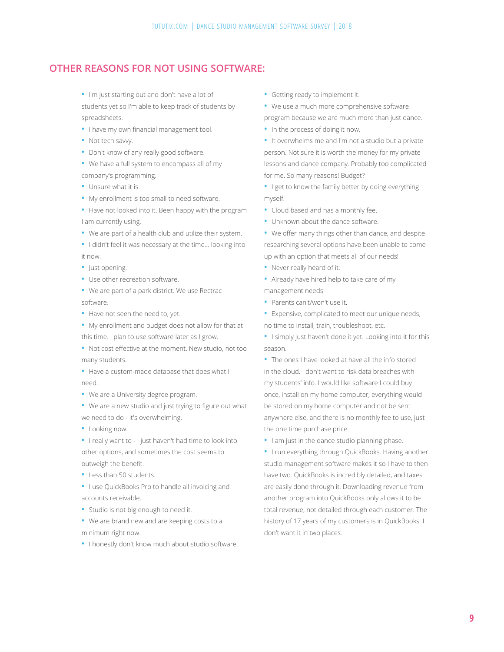### **OTHER REASONS FOR NOT USING SOFTWARE:**

- **•** I'm just starting out and don't have a lot of students yet so I'm able to keep track of students by spreadsheets.
- **•** I have my own financial management tool.
- **•** Not tech savvy.
- **•** Don't know of any really good software.
- **•** We have a full system to encompass all of my company's programming.
- **•** Unsure what it is.
- **•** My enrollment is too small to need software.
- **•** Have not looked into it. Been happy with the program I am currently using.
- **•** We are part of a health club and utilize their system.
- **•** I didn't feel it was necessary at the time... looking into it now.
- **•** Just opening.
- **•** Use other recreation software.
- **•** We are part of a park district. We use Rectrac software.
- **•** Have not seen the need to, yet.
- **•** My enrollment and budget does not allow for that at this time. I plan to use software later as I grow.
- **•** Not cost effective at the moment. New studio, not too many students.
- **•** Have a custom-made database that does what I need.
- **•** We are a University degree program.
- **•** We are a new studio and just trying to figure out what we need to do - it's overwhelming.
- **•** Looking now.
- **•** I really want to I just haven't had time to look into other options, and sometimes the cost seems to outweigh the benefit.
- **•** Less than 50 students.
- **•** I use QuickBooks Pro to handle all invoicing and accounts receivable.
- **•** Studio is not big enough to need it.
- **•** We are brand new and are keeping costs to a minimum right now.
- **•** I honestly don't know much about studio software.
- **•** Getting ready to implement it.
- **•** We use a much more comprehensive software
- program because we are much more than just dance.
- **•** In the process of doing it now.
- **•** It overwhelms me and I'm not a studio but a private person. Not sure it is worth the money for my private lessons and dance company. Probably too complicated for me. So many reasons! Budget?
- **•** I get to know the family better by doing everything myself.
- **•** Cloud based and has a monthly fee.
- **•** Unknown about the dance software.
- **•** We offer many things other than dance, and despite researching several options have been unable to come up with an option that meets all of our needs!
- **•** Never really heard of it.
- **•** Already have hired help to take care of my management needs.
- **•** Parents can't/won't use it.
- **•** Expensive, complicated to meet our unique needs, no time to install, train, troubleshoot, etc.
- **•** I simply just haven't done it yet. Looking into it for this season.
- **•** The ones I have looked at have all the info stored in the cloud. I don't want to risk data breaches with my students' info. I would like software I could buy once, install on my home computer, everything would be stored on my home computer and not be sent anywhere else, and there is no monthly fee to use, just the one time purchase price.
- **•** I am just in the dance studio planning phase.
- **•** I run everything through QuickBooks. Having another studio management software makes it so I have to then have two. QuickBooks is incredibly detailed, and taxes are easily done through it. Downloading revenue from another program into QuickBooks only allows it to be total revenue, not detailed through each customer. The history of 17 years of my customers is in QuickBooks. I don't want it in two places.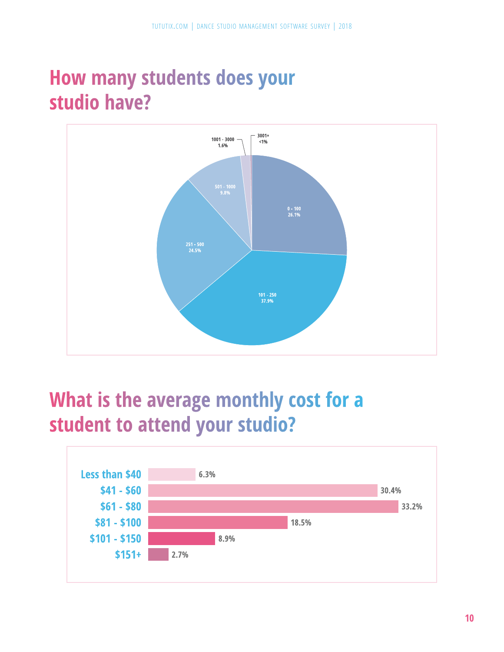# **How many students does your studio have?**



# **What is the average monthly cost for a student to attend your studio?**

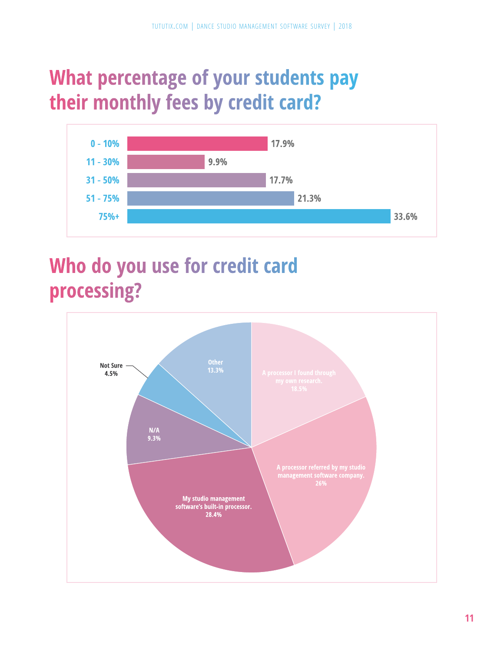# **What percentage of your students pay their monthly fees by credit card?**



# **Who do you use for credit card processing?**

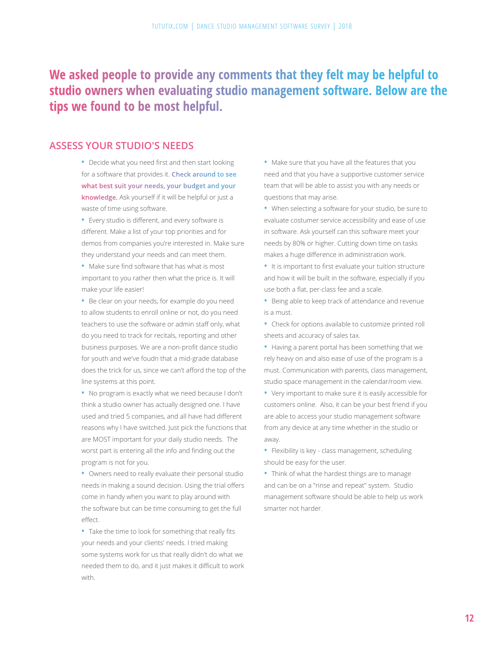### **We asked people to provide any comments that they felt may be helpful to studio owners when evaluating studio management software. Below are the tips we found to be most helpful.**

### **ASSESS YOUR STUDIO'S NEEDS**

- **•** Decide what you need first and then start looking for a software that provides it. **Check around to see what best suit your needs, your budget and your knowledge.** Ask yourself if it will be helpful or just a waste of time using software.
- **•** Every studio is different, and every software is different. Make a list of your top priorities and for demos from companies you're interested in. Make sure they understand your needs and can meet them.
- **•** Make sure find software that has what is most important to you rather then what the price is. It will make your life easier!
- **•** Be clear on your needs, for example do you need to allow students to enroll online or not, do you need teachers to use the software or admin staff only, what do you need to track for recitals, reporting and other business purposes. We are a non-profit dance studio for youth and we've foudn that a mid-grade database does the trick for us, since we can't afford the top of the line systems at this point.
- **•** No program is exactly what we need because I don't think a studio owner has actually designed one. I have used and tried 5 companies, and all have had different reasons why I have switched. Just pick the functions that are MOST important for your daily studio needs. The worst part is entering all the info and finding out the program is not for you.
- **•** Owners need to really evaluate their personal studio needs in making a sound decision. Using the trial offers come in handy when you want to play around with the software but can be time consuming to get the full effect.
- **•** Take the time to look for something that really fits your needs and your clients' needs. I tried making some systems work for us that really didn't do what we needed them to do, and it just makes it difficult to work with.
- **•** Make sure that you have all the features that you need and that you have a supportive customer service team that will be able to assist you with any needs or questions that may arise.
- **•** When selecting a software for your studio, be sure to evaluate costumer service accessibility and ease of use in software. Ask yourself can this software meet your needs by 80% or higher. Cutting down time on tasks makes a huge difference in administration work.
- **•** It is important to first evaluate your tuition structure and how it will be built in the software, especially if you use both a flat, per-class fee and a scale.
- **•** Being able to keep track of attendance and revenue is a must.
- **•** Check for options available to customize printed roll sheets and accuracy of sales tax.
- **•** Having a parent portal has been something that we rely heavy on and also ease of use of the program is a must. Communication with parents, class management, studio space management in the calendar/room view.
- **•** Very important to make sure it is easily accessible for customers online. Also, it can be your best friend if you are able to access your studio management software from any device at any time whether in the studio or away.
- **•** Flexibility is key class management, scheduling should be easy for the user.
- **•** Think of what the hardest things are to manage and can be on a "rinse and repeat" system. Studio management software should be able to help us work smarter not harder.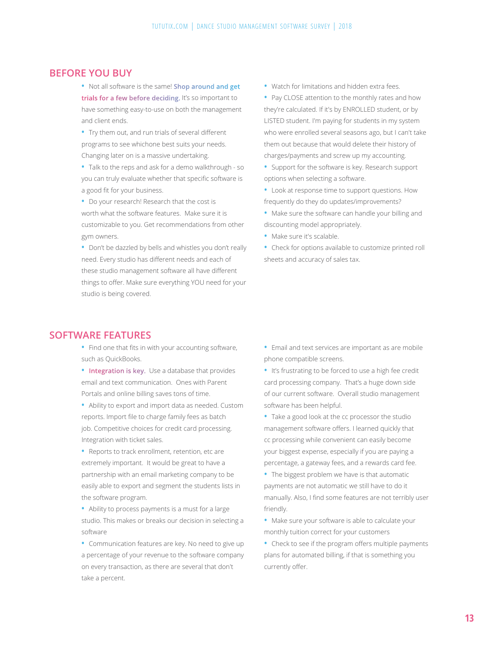### **BEFORE YOU BUY**

- **•** Not all software is the same! **Shop around and get trials for a few before deciding.** It's so important to have something easy-to-use on both the management and client ends.
- **•** Try them out, and run trials of several different programs to see whichone best suits your needs. Changing later on is a massive undertaking.
- **•** Talk to the reps and ask for a demo walkthrough so you can truly evaluate whether that specific software is a good fit for your business.
- **•** Do your research! Research that the cost is worth what the software features. Make sure it is customizable to you. Get recommendations from other gym owners.
- **•** Don't be dazzled by bells and whistles you don't really need. Every studio has different needs and each of these studio management software all have different things to offer. Make sure everything YOU need for your studio is being covered.

#### **SOFTWARE FEATURES**

- **•** Find one that fits in with your accounting software, such as QuickBooks.
- **• Integration is key.** Use a database that provides email and text communication. Ones with Parent Portals and online billing saves tons of time.
- **•** Ability to export and import data as needed. Custom reports. Import file to charge family fees as batch job. Competitive choices for credit card processing. Integration with ticket sales.
- **•** Reports to track enrollment, retention, etc are extremely important. It would be great to have a partnership with an email marketing company to be easily able to export and segment the students lists in the software program.
- **•** Ability to process payments is a must for a large studio. This makes or breaks our decision in selecting a software
- **•** Communication features are key. No need to give up a percentage of your revenue to the software company on every transaction, as there are several that don't take a percent.
- **•** Watch for limitations and hidden extra fees.
- **•** Pay CLOSE attention to the monthly rates and how they're calculated. If it's by ENROLLED student, or by LISTED student. I'm paying for students in my system who were enrolled several seasons ago, but I can't take them out because that would delete their history of charges/payments and screw up my accounting.
- **•** Support for the software is key. Research support options when selecting a software.
- **•** Look at response time to support questions. How frequently do they do updates/improvements?
- **•** Make sure the software can handle your billing and discounting model appropriately.
- **•** Make sure it's scalable.
- **•** Check for options available to customize printed roll sheets and accuracy of sales tax.

- **•** Email and text services are important as are mobile phone compatible screens.
- **•** It's frustrating to be forced to use a high fee credit card processing company. That's a huge down side of our current software. Overall studio management software has been helpful.
- **•** Take a good look at the cc processor the studio management software offers. I learned quickly that cc processing while convenient can easily become your biggest expense, especially if you are paying a percentage, a gateway fees, and a rewards card fee.
- **•** The biggest problem we have is that automatic payments are not automatic we still have to do it manually. Also, I find some features are not terribly user friendly.
- **•** Make sure your software is able to calculate your monthly tuition correct for your customers
- **•** Check to see if the program offers multiple payments plans for automated billing, if that is something you currently offer.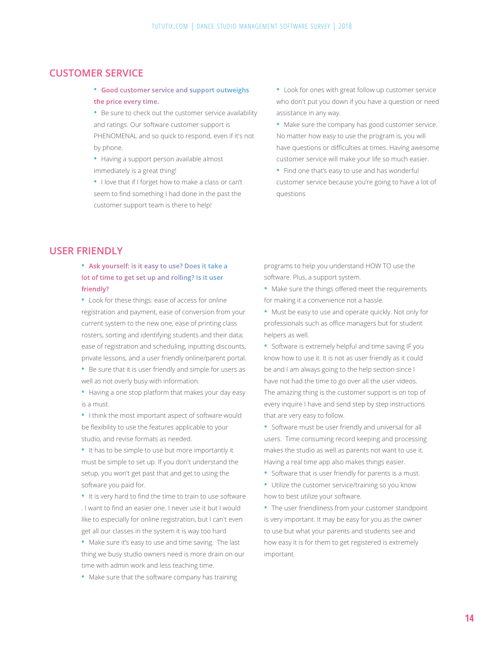### **CUSTOMER SERVICE**

- **• Good customer service and support outweighs the price every time.**
- **•** Be sure to check out the customer service availability and ratings. Our software customer support is PHENOMENAL and so quick to respond, even if it's not by phone.
- **•** Having a support person available almost immediately is a great thing!
- **•** I love that if I forget how to make a class or can't seem to find something I had done in the past the customer support team is there to help!
- **•** Look for ones with great follow up customer service who don't put you down if you have a question or need assistance in any way.
- **•** Make sure the company has good customer service. No matter how easy to use the program is, you will have questions or difficulties at times. Having awesome customer service will make your life so much easier.
- **•** Find one that's easy to use and has wonderful customer service because you're going to have a lot of questions

### **USER FRIENDLY**

- **• Ask yourself: is it easy to use? Does it take a lot of time to get set up and rolling? Is it user friendly?**
- **•** Look for these things: ease of access for online registration and payment, ease of conversion from your current system to the new one, ease of printing class rosters, sorting and identifying students and their data; ease of registration and scheduling, inputting discounts, private lessons, and a user friendly online/parent portal.
- **•** Be sure that it is user friendly and simple for users as well as not overly busy with information.
- **•** Having a one stop platform that makes your day easy is a must.
- **•** I think the most important aspect of software would be flexibility to use the features applicable to your studio, and revise formats as needed.
- **•** It has to be simple to use but more importantly it must be simple to set up. If you don't understand the setup, you won't get past that and get to using the software you paid for.
- **•** It is very hard to find the time to train to use software . I want to find an easier one. I never use it but I would like to especially for online registration, but I can't even get all our classes in the system it is way too hard
- **•** Make sure it's easy to use and time saving. The last thing we busy studio owners need is more drain on our time with admin work and less teaching time.
- **•** Make sure that the software company has training

programs to help you understand HOW TO use the software. Plus, a support system.

**•** Make sure the things offered meet the requirements for making it a convenience not a hassle.

- **•** Must be easy to use and operate quickly. Not only for professionals such as office managers but for student helpers as well.
- **•** Software is extremely helpful and time saving IF you know how to use it. It is not as user friendly as it could be and I am always going to the help section since I have not had the time to go over all the user videos. The amazing thing is the customer support is on top of every inquire I have and send step by step instructions that are very easy to follow.
- **•** Software must be user friendly and universal for all users. Time consuming record keeping and processing makes the studio as well as parents not want to use it. Having a real time app also makes things easier.
- **•** Software that is user friendly for parents is a must.
- **•** Utilize the customer service/training so you know how to best utilize your software.
- **•** The user friendliness from your customer standpoint is very important. It may be easy for you as the owner to use but what your parents and students see and how easy it is for them to get registered is extremely important.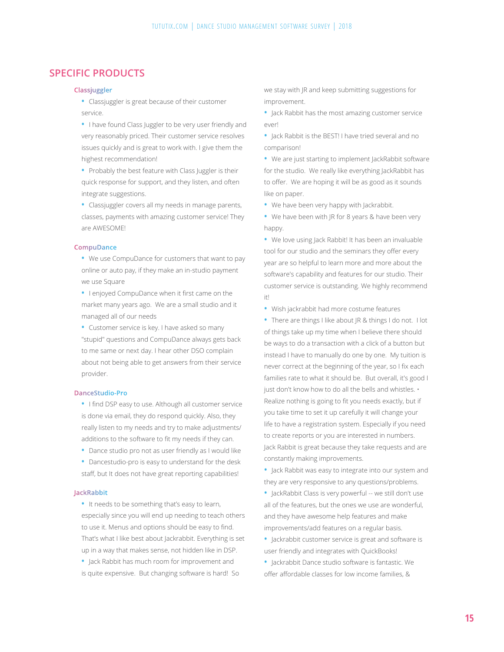### **SPECIFIC PRODUCTS**

#### **Classjuggler**

- **•** Classjuggler is great because of their customer service.
- **•** I have found Class Juggler to be very user friendly and very reasonably priced. Their customer service resolves issues quickly and is great to work with. I give them the highest recommendation!
- **•** Probably the best feature with Class Juggler is their quick response for support, and they listen, and often integrate suggestions.
- **•** Classjuggler covers all my needs in manage parents, classes, payments with amazing customer service! They are AWESOME!

#### **CompuDance**

- **•** We use CompuDance for customers that want to pay online or auto pay, if they make an in-studio payment we use Square
- **•** I enjoyed CompuDance when it first came on the market many years ago. We are a small studio and it managed all of our needs
- **•** Customer service is key. I have asked so many "stupid" questions and CompuDance always gets back to me same or next day. I hear other DSO complain about not being able to get answers from their service provider.

#### **DanceStudio-Pro**

- **•** I find DSP easy to use. Although all customer service is done via email, they do respond quickly. Also, they really listen to my needs and try to make adjustments/ additions to the software to fit my needs if they can.
- **•** Dance studio pro not as user friendly as I would like
- **•** Dancestudio-pro is easy to understand for the desk staff, but It does not have great reporting capabilities!

#### **JackRabbit**

- **•** It needs to be something that's easy to learn, especially since you will end up needing to teach others to use it. Menus and options should be easy to find. That's what I like best about Jackrabbit. Everything is set up in a way that makes sense, not hidden like in DSP.
- **•** Jack Rabbit has much room for improvement and is quite expensive. But changing software is hard! So

we stay with JR and keep submitting suggestions for improvement.

- **•** Jack Rabbit has the most amazing customer service ever!
- **•** Jack Rabbit is the BEST! I have tried several and no comparison!
- **•** We are just starting to implement JackRabbit software for the studio. We really like everything JackRabbit has to offer. We are hoping it will be as good as it sounds like on paper.
- We have been very happy with Jackrabbit.
- **•** We have been with JR for 8 years & have been very happy.
- **•** We love using Jack Rabbit! It has been an invaluable tool for our studio and the seminars they offer every year are so helpful to learn more and more about the software's capability and features for our studio. Their customer service is outstanding. We highly recommend it!
- **•** Wish jackrabbit had more costume features
- **•** There are things I like about JR & things I do not. I lot of things take up my time when I believe there should be ways to do a transaction with a click of a button but instead I have to manually do one by one. My tuition is never correct at the beginning of the year, so I fix each families rate to what it should be. But overall, it's good I just don't know how to do all the bells and whistles. • Realize nothing is going to fit you needs exactly, but if you take time to set it up carefully it will change your life to have a registration system. Especially if you need to create reports or you are interested in numbers. Jack Rabbit is great because they take requests and are constantly making improvements.
- **•** Jack Rabbit was easy to integrate into our system and they are very responsive to any questions/problems.
- **•** JackRabbit Class is very powerful -- we still don't use all of the features, but the ones we use are wonderful, and they have awesome help features and make improvements/add features on a regular basis.
- **•** Jackrabbit customer service is great and software is user friendly and integrates with QuickBooks!
- **•** Jackrabbit Dance studio software is fantastic. We offer affordable classes for low income families, &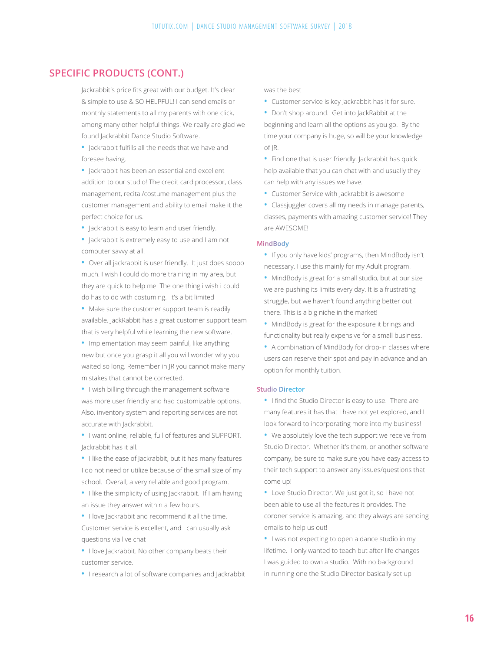### **SPECIFIC PRODUCTS (CONT.)**

Jackrabbit's price fits great with our budget. It's clear & simple to use & SO HELPFUL! I can send emails or monthly statements to all my parents with one click, among many other helpful things. We really are glad we found Jackrabbit Dance Studio Software.

**•** Jackrabbit fulfills all the needs that we have and foresee having.

**•** Jackrabbit has been an essential and excellent addition to our studio! The credit card processor, class management, recital/costume management plus the customer management and ability to email make it the perfect choice for us.

**•** Jackrabbit is easy to learn and user friendly.

**•** Jackrabbit is extremely easy to use and I am not computer savvy at all.

**•** Over all jackrabbit is user friendly. It just does soooo much. I wish I could do more training in my area, but they are quick to help me. The one thing i wish i could do has to do with costuming. It's a bit limited

**•** Make sure the customer support team is readily available. JackRabbit has a great customer support team that is very helpful while learning the new software.

**•** Implementation may seem painful, like anything new but once you grasp it all you will wonder why you waited so long. Remember in JR you cannot make many mistakes that cannot be corrected.

**•** I wish billing through the management software was more user friendly and had customizable options. Also, inventory system and reporting services are not accurate with lackrabbit.

**•** I want online, reliable, full of features and SUPPORT. Jackrabbit has it all.

**•** I like the ease of Jackrabbit, but it has many features I do not need or utilize because of the small size of my school. Overall, a very reliable and good program.

**•** I like the simplicity of using Jackrabbit. If I am having an issue they answer within a few hours.

**•** I love Jackrabbit and recommend it all the time. Customer service is excellent, and I can usually ask questions via live chat

**•** I love Jackrabbit. No other company beats their customer service.

**•** I research a lot of software companies and Jackrabbit

was the best

**•** Customer service is key Jackrabbit has it for sure.

**•** Don't shop around. Get into JackRabbit at the beginning and learn all the options as you go. By the time your company is huge, so will be your knowledge of JR.

**•** Find one that is user friendly. Jackrabbit has quick help available that you can chat with and usually they can help with any issues we have.

**•** Customer Service with Jackrabbit is awesome

**•** Classjuggler covers all my needs in manage parents, classes, payments with amazing customer service! They are AWESOME!

#### **MindBody**

**•** If you only have kids' programs, then MindBody isn't necessary. I use this mainly for my Adult program.

**•** MindBody is great for a small studio, but at our size we are pushing its limits every day. It is a frustrating struggle, but we haven't found anything better out there. This is a big niche in the market!

**•** MindBody is great for the exposure it brings and functionality but really expensive for a small business.

**•** A combination of MindBody for drop-in classes where users can reserve their spot and pay in advance and an option for monthly tuition.

#### **Studio Director**

**•** I find the Studio Director is easy to use. There are many features it has that I have not yet explored, and I look forward to incorporating more into my business!

**•** We absolutely love the tech support we receive from Studio Director. Whether it's them, or another software company, be sure to make sure you have easy access to their tech support to answer any issues/questions that come up!

**•** Love Studio Director. We just got it, so I have not been able to use all the features it provides. The coroner service is amazing, and they always are sending emails to help us out!

**•** I was not expecting to open a dance studio in my lifetime. I only wanted to teach but after life changes I was guided to own a studio. With no background in running one the Studio Director basically set up